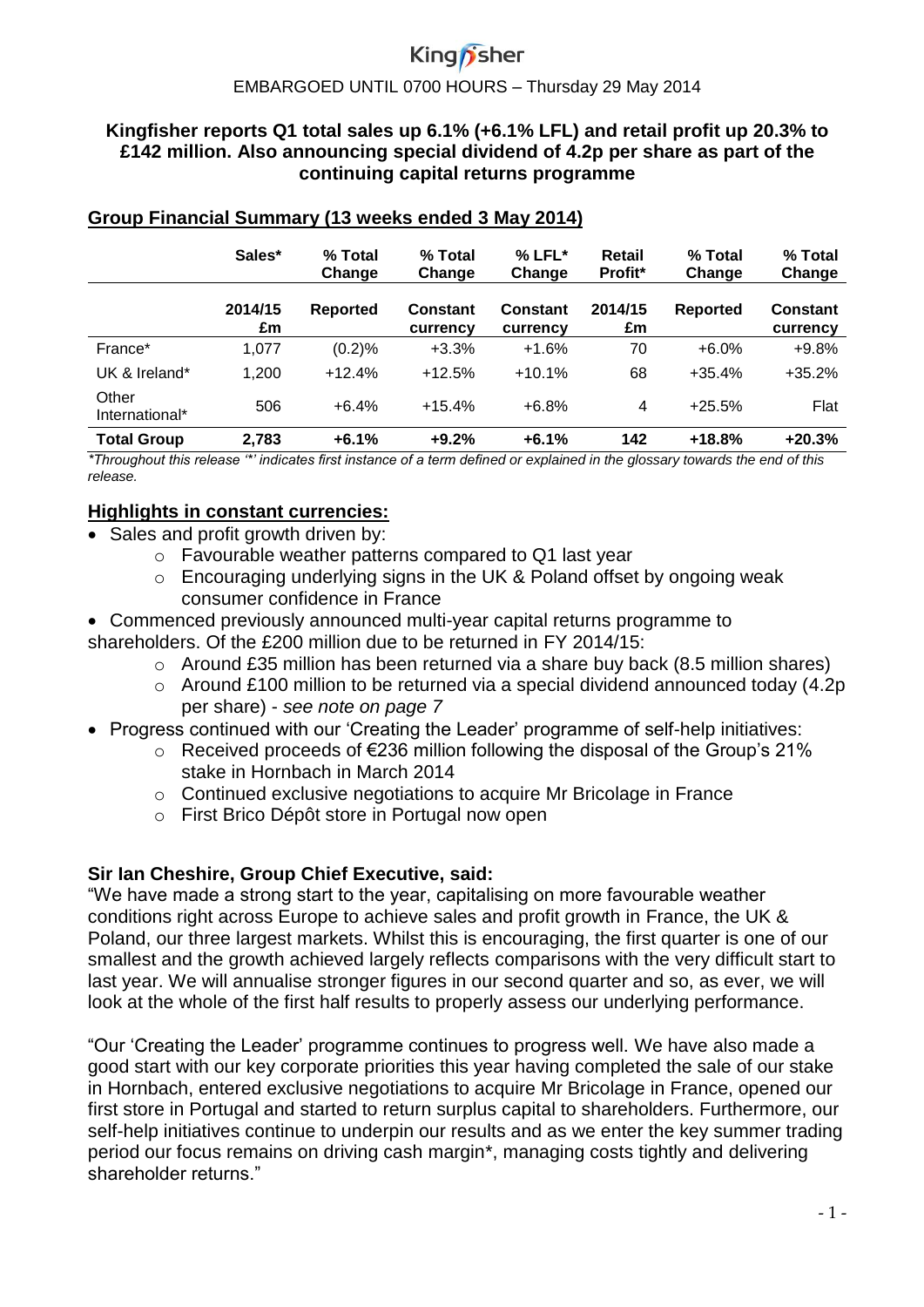#### EMBARGOED UNTIL 0700 HOURS – Thursday 29 May 2014

#### **Kingfisher reports Q1 total sales up 6.1% (+6.1% LFL) and retail profit up 20.3% to £142 million. Also announcing special dividend of 4.2p per share as part of the continuing capital returns programme**

|                         | Sales*        | % Total<br>Change | % Total<br>Change           | $%$ LFL $*$<br>Change       | Retail<br>Profit* | % Total<br>Change | % Total<br>Change           |
|-------------------------|---------------|-------------------|-----------------------------|-----------------------------|-------------------|-------------------|-----------------------------|
|                         | 2014/15<br>£m | Reported          | <b>Constant</b><br>currency | <b>Constant</b><br>currency | 2014/15<br>£m     | Reported          | <b>Constant</b><br>currency |
| France*                 | 1,077         | (0.2)%            | $+3.3%$                     | $+1.6%$                     | 70                | $+6.0%$           | $+9.8%$                     |
| UK & Ireland*           | 1,200         | $+12.4%$          | $+12.5%$                    | $+10.1%$                    | 68                | $+35.4%$          | $+35.2%$                    |
| Other<br>International* | 506           | $+6.4%$           | $+15.4%$                    | $+6.8%$                     | 4                 | $+25.5%$          | Flat                        |
| <b>Total Group</b>      | 2,783         | $+6.1%$           | $+9.2%$                     | $+6.1%$                     | 142               | $+18.8%$          | $+20.3%$                    |

#### **Group Financial Summary (13 weeks ended 3 May 2014)**

*\*Throughout this release '\*' indicates first instance of a term defined or explained in the glossary towards the end of this release.*

#### **Highlights in constant currencies:**

- Sales and profit growth driven by:
	- o Favourable weather patterns compared to Q1 last year
	- $\circ$  Encouraging underlying signs in the UK & Poland offset by ongoing weak consumer confidence in France
- Commenced previously announced multi-year capital returns programme to shareholders. Of the £200 million due to be returned in FY 2014/15:
	- o Around £35 million has been returned via a share buy back (8.5 million shares)
	- o Around £100 million to be returned via a special dividend announced today (4.2p per share) - *see note on page 7*
- Progress continued with our 'Creating the Leader' programme of self-help initiatives:
	- o Received proceeds of €236 million following the disposal of the Group's 21% stake in Hornbach in March 2014
	- o Continued exclusive negotiations to acquire Mr Bricolage in France
	- o First Brico Dépôt store in Portugal now open

#### **Sir Ian Cheshire, Group Chief Executive, said:**

"We have made a strong start to the year, capitalising on more favourable weather conditions right across Europe to achieve sales and profit growth in France, the UK & Poland, our three largest markets. Whilst this is encouraging, the first quarter is one of our smallest and the growth achieved largely reflects comparisons with the very difficult start to last year. We will annualise stronger figures in our second quarter and so, as ever, we will look at the whole of the first half results to properly assess our underlying performance.

"Our 'Creating the Leader' programme continues to progress well. We have also made a good start with our key corporate priorities this year having completed the sale of our stake in Hornbach, entered exclusive negotiations to acquire Mr Bricolage in France, opened our first store in Portugal and started to return surplus capital to shareholders. Furthermore, our self-help initiatives continue to underpin our results and as we enter the key summer trading period our focus remains on driving cash margin\*, managing costs tightly and delivering shareholder returns."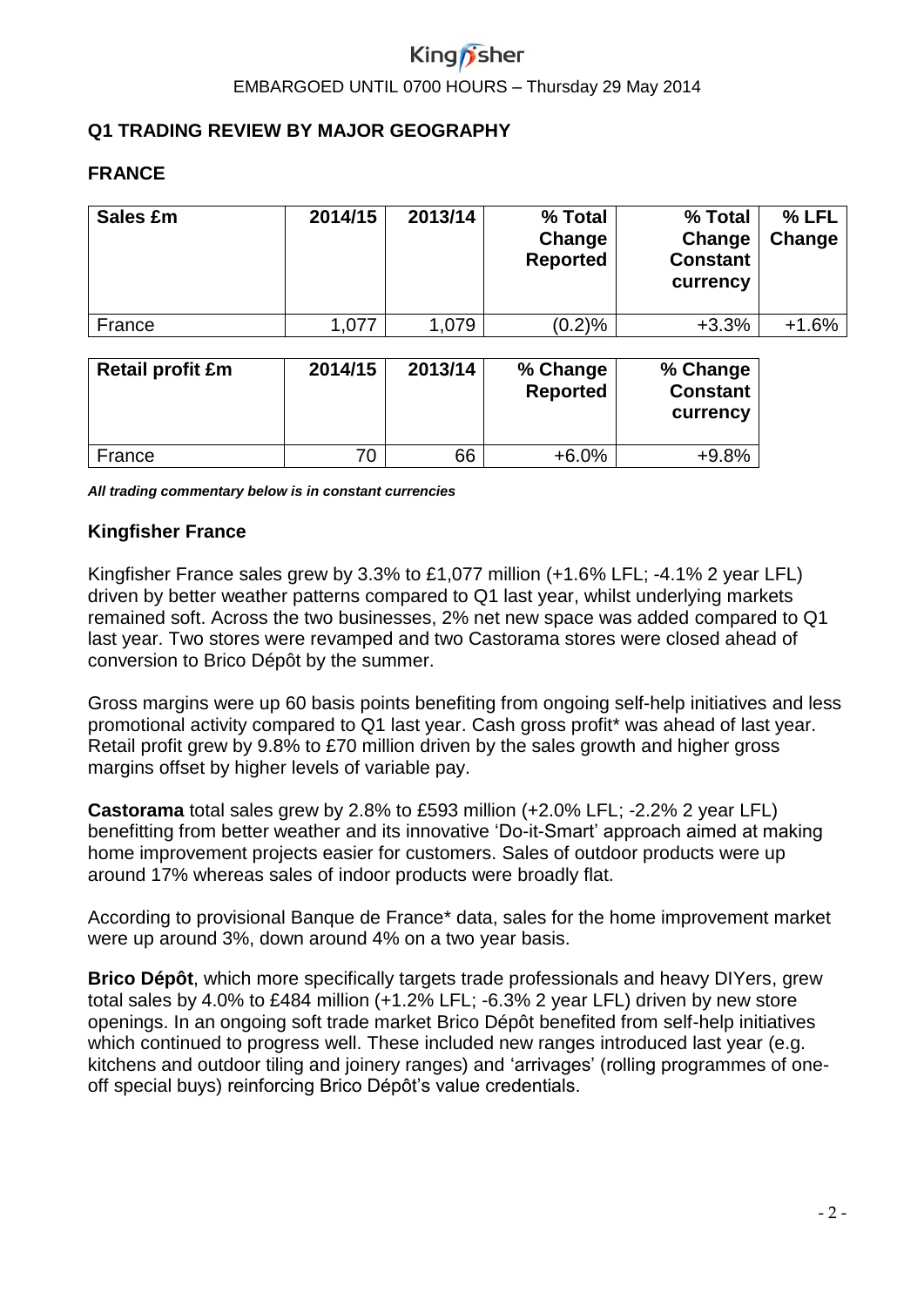# King*n* sher

#### EMBARGOED UNTIL 0700 HOURS – Thursday 29 May 2014

#### **Q1 TRADING REVIEW BY MAJOR GEOGRAPHY**

#### **FRANCE**

| Sales £m | 2014/15 | 2013/14 | % Total<br>Change<br><b>Reported</b> | % Total<br>Change<br><b>Constant</b><br>currency | % LFL<br>Change |
|----------|---------|---------|--------------------------------------|--------------------------------------------------|-----------------|
| France   | 1.077   | 1,079   | (0.2)%                               | $+3.3%$                                          | $+1.6%$         |

| <b>Retail profit £m</b> | 2014/15 | 2013/14 | % Change<br><b>Reported</b> | % Change<br><b>Constant</b><br>currency |
|-------------------------|---------|---------|-----------------------------|-----------------------------------------|
| France                  |         | 66      | $+6.0%$                     | $+9.8%$                                 |

*All trading commentary below is in constant currencies*

#### **Kingfisher France**

Kingfisher France sales grew by 3.3% to £1,077 million (+1.6% LFL; -4.1% 2 year LFL) driven by better weather patterns compared to Q1 last year, whilst underlying markets remained soft. Across the two businesses, 2% net new space was added compared to Q1 last year. Two stores were revamped and two Castorama stores were closed ahead of conversion to Brico Dépôt by the summer.

Gross margins were up 60 basis points benefiting from ongoing self-help initiatives and less promotional activity compared to Q1 last year. Cash gross profit\* was ahead of last year. Retail profit grew by 9.8% to £70 million driven by the sales growth and higher gross margins offset by higher levels of variable pay.

**Castorama** total sales grew by 2.8% to £593 million (+2.0% LFL; -2.2% 2 year LFL) benefitting from better weather and its innovative 'Do-it-Smart' approach aimed at making home improvement projects easier for customers. Sales of outdoor products were up around 17% whereas sales of indoor products were broadly flat.

According to provisional Banque de France\* data, sales for the home improvement market were up around 3%, down around 4% on a two year basis.

**Brico Dépôt**, which more specifically targets trade professionals and heavy DIYers, grew total sales by 4.0% to £484 million (+1.2% LFL; -6.3% 2 year LFL) driven by new store openings. In an ongoing soft trade market Brico Dépôt benefited from self-help initiatives which continued to progress well. These included new ranges introduced last year (e.g. kitchens and outdoor tiling and joinery ranges) and 'arrivages' (rolling programmes of oneoff special buys) reinforcing Brico Dépôt's value credentials.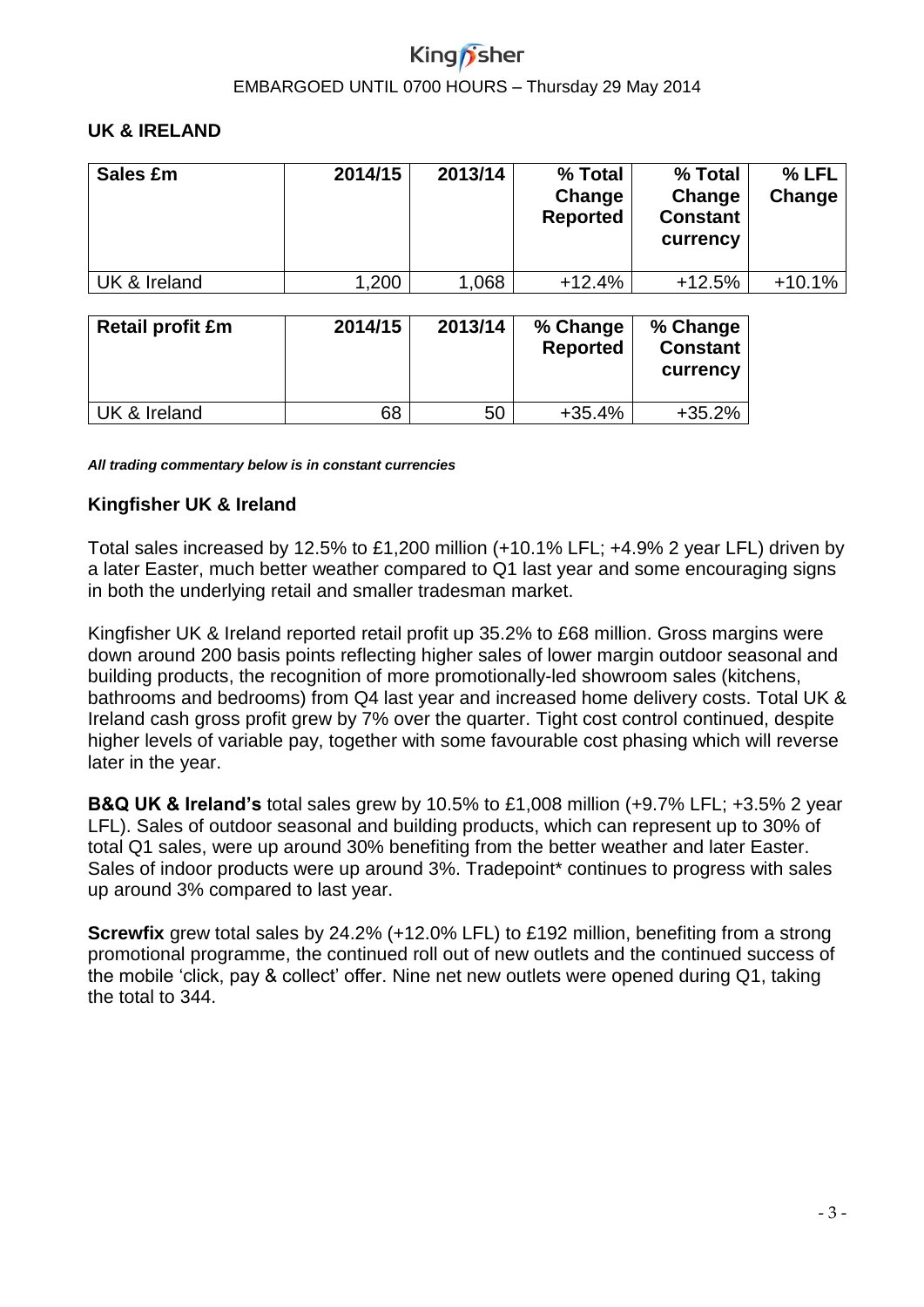# EMBARGOED UNTIL 0700 HOURS – Thursday 29 May 2014

#### **UK & IRELAND**

| Sales £m                | 2014/15 | 2013/14 | % Total<br>Change<br><b>Reported</b> | % Total<br>Change<br><b>Constant</b><br>currency | % LFL<br>Change |
|-------------------------|---------|---------|--------------------------------------|--------------------------------------------------|-----------------|
| UK & Ireland            | 1,200   | 1,068   | $+12.4%$                             | $+12.5%$                                         | $+10.1%$        |
| <b>Retail profit £m</b> | 2014/15 | 2013/14 | % Change<br><b>Reported</b>          | % Change<br><b>Constant</b><br>currency          |                 |

 $UK & Ireland$  68 50 +35.4% +35.2%

*All trading commentary below is in constant currencies*

#### **Kingfisher UK & Ireland**

Total sales increased by 12.5% to £1,200 million (+10.1% LFL; +4.9% 2 year LFL) driven by a later Easter, much better weather compared to Q1 last year and some encouraging signs in both the underlying retail and smaller tradesman market.

Kingfisher UK & Ireland reported retail profit up 35.2% to £68 million. Gross margins were down around 200 basis points reflecting higher sales of lower margin outdoor seasonal and building products, the recognition of more promotionally-led showroom sales (kitchens, bathrooms and bedrooms) from Q4 last year and increased home delivery costs. Total UK & Ireland cash gross profit grew by 7% over the quarter. Tight cost control continued, despite higher levels of variable pay, together with some favourable cost phasing which will reverse later in the year.

**B&Q UK & Ireland's** total sales grew by 10.5% to £1,008 million (+9.7% LFL; +3.5% 2 year LFL). Sales of outdoor seasonal and building products, which can represent up to 30% of total Q1 sales, were up around 30% benefiting from the better weather and later Easter. Sales of indoor products were up around 3%. Tradepoint\* continues to progress with sales up around 3% compared to last year.

**Screwfix** grew total sales by 24.2% (+12.0% LFL) to £192 million, benefiting from a strong promotional programme, the continued roll out of new outlets and the continued success of the mobile 'click, pay & collect' offer. Nine net new outlets were opened during Q1, taking the total to 344.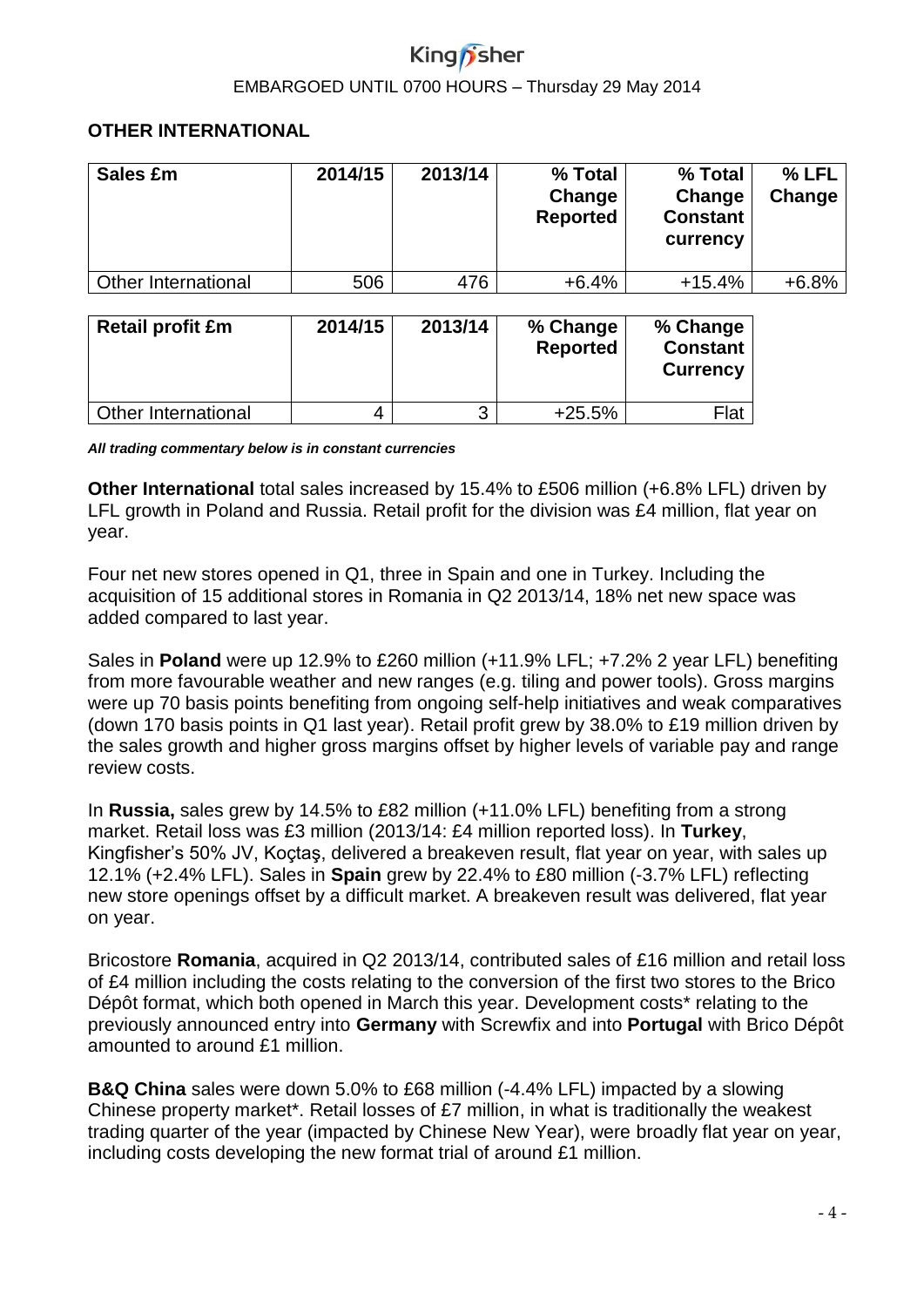#### EMBARGOED UNTIL 0700 HOURS – Thursday 29 May 2014

#### **OTHER INTERNATIONAL**

| Sales £m                | 2014/15 | 2013/14 | % Total<br>Change<br><b>Reported</b> | % Total<br>Change<br><b>Constant</b><br>currency | % LFL<br>Change |
|-------------------------|---------|---------|--------------------------------------|--------------------------------------------------|-----------------|
| Other International     | 506     | 476     | $+6.4%$                              | $+15.4%$                                         | $+6.8%$         |
| <b>Retail profit £m</b> | 2014/15 | 2013/14 | % Change<br><b>Reported</b>          | % Change<br><b>Constant</b><br><b>Currency</b>   |                 |

*All trading commentary below is in constant currencies*

**Other International** total sales increased by 15.4% to £506 million (+6.8% LFL) driven by LFL growth in Poland and Russia. Retail profit for the division was £4 million, flat year on year.

Other International  $\begin{vmatrix} 4 & 3 & +25.5\% \end{vmatrix}$  Flat

Four net new stores opened in Q1, three in Spain and one in Turkey. Including the acquisition of 15 additional stores in Romania in Q2 2013/14, 18% net new space was added compared to last year.

Sales in **Poland** were up 12.9% to £260 million (+11.9% LFL; +7.2% 2 year LFL) benefiting from more favourable weather and new ranges (e.g. tiling and power tools). Gross margins were up 70 basis points benefiting from ongoing self-help initiatives and weak comparatives (down 170 basis points in Q1 last year). Retail profit grew by 38.0% to £19 million driven by the sales growth and higher gross margins offset by higher levels of variable pay and range review costs.

In **Russia,** sales grew by 14.5% to £82 million (+11.0% LFL) benefiting from a strong market. Retail loss was £3 million (2013/14: £4 million reported loss). In **Turkey**, Kingfisher's 50% JV, Koçtaş, delivered a breakeven result, flat year on year, with sales up 12.1% (+2.4% LFL). Sales in **Spain** grew by 22.4% to £80 million (-3.7% LFL) reflecting new store openings offset by a difficult market. A breakeven result was delivered, flat year on year.

Bricostore **Romania**, acquired in Q2 2013/14, contributed sales of £16 million and retail loss of £4 million including the costs relating to the conversion of the first two stores to the Brico Dépôt format, which both opened in March this year. Development costs\* relating to the previously announced entry into **Germany** with Screwfix and into **Portugal** with Brico Dépôt amounted to around £1 million.

**B&Q China** sales were down 5.0% to £68 million (-4.4% LFL) impacted by a slowing Chinese property market\*. Retail losses of £7 million, in what is traditionally the weakest trading quarter of the year (impacted by Chinese New Year), were broadly flat year on year, including costs developing the new format trial of around £1 million.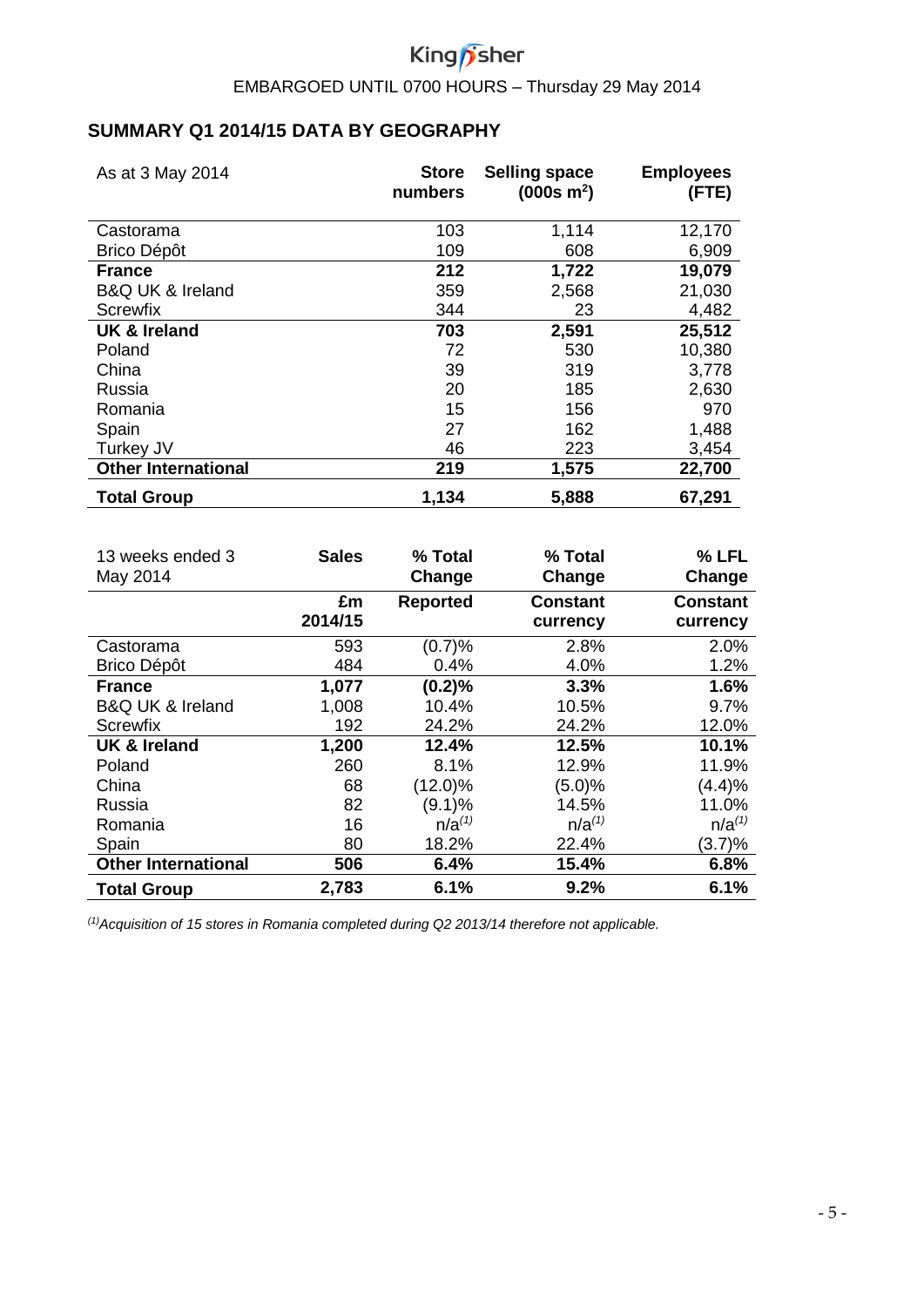# King*f* sher

EMBARGOED UNTIL 0700 HOURS – Thursday 29 May 2014

### **SUMMARY Q1 2014/15 DATA BY GEOGRAPHY**

| As at 3 May 2014                | <b>Store</b><br>numbers | <b>Selling space</b><br>$(000s \; m^2)$ | <b>Employees</b><br>(FTE) |
|---------------------------------|-------------------------|-----------------------------------------|---------------------------|
| Castorama                       | 103                     | 1,114                                   | 12,170                    |
| <b>Brico Dépôt</b>              | 109                     | 608                                     | 6,909                     |
| <b>France</b>                   | 212                     | 1,722                                   | 19,079                    |
| <b>B&amp;Q UK &amp; Ireland</b> | 359                     | 2,568                                   | 21,030                    |
| Screwfix                        | 344                     | 23                                      | 4,482                     |
| <b>UK &amp; Ireland</b>         | 703                     | 2,591                                   | 25,512                    |
| Poland                          | 72                      | 530                                     | 10,380                    |
| China                           | 39                      | 319                                     | 3,778                     |
| Russia                          | 20                      | 185                                     | 2,630                     |
| Romania                         | 15                      | 156                                     | 970                       |
| Spain                           | 27                      | 162                                     | 1,488                     |
| Turkey JV                       | 46                      | 223                                     | 3,454                     |
| <b>Other International</b>      | 219                     | 1,575                                   | 22,700                    |
| <b>Total Group</b>              | 1,134                   | 5,888                                   | 67,291                    |

| 13 weeks ended 3<br>May 2014    | <b>Sales</b>  | % Total<br>Change | % Total<br>Change    | % LFL<br>Change             |
|---------------------------------|---------------|-------------------|----------------------|-----------------------------|
|                                 | £m<br>2014/15 | Reported          | Constant<br>currency | <b>Constant</b><br>currency |
| Castorama                       | 593           | (0.7)%            | 2.8%                 | 2.0%                        |
| <b>Brico Dépôt</b>              | 484           | 0.4%              | 4.0%                 | 1.2%                        |
| <b>France</b>                   | 1,077         | (0.2)%            | 3.3%                 | 1.6%                        |
| <b>B&amp;Q UK &amp; Ireland</b> | 1,008         | 10.4%             | 10.5%                | 9.7%                        |
| <b>Screwfix</b>                 | 192           | 24.2%             | 24.2%                | 12.0%                       |
| <b>UK &amp; Ireland</b>         | 1,200         | 12.4%             | 12.5%                | 10.1%                       |
| Poland                          | 260           | 8.1%              | 12.9%                | 11.9%                       |
| China                           | 68            | $(12.0)\%$        | (5.0)%               | (4.4)%                      |
| Russia                          | 82            | (9.1)%            | 14.5%                | 11.0%                       |
| Romania                         | 16            | $n/a^{(1)}$       | $n/a^{(1)}$          | $n/a^{(1)}$                 |
| Spain                           | 80            | 18.2%             | 22.4%                | $(3.7)\%$                   |
| <b>Other International</b>      | 506           | 6.4%              | 15.4%                | 6.8%                        |
| <b>Total Group</b>              | 2,783         | 6.1%              | 9.2%                 | 6.1%                        |

*(1)Acquisition of 15 stores in Romania completed during Q2 2013/14 therefore not applicable.*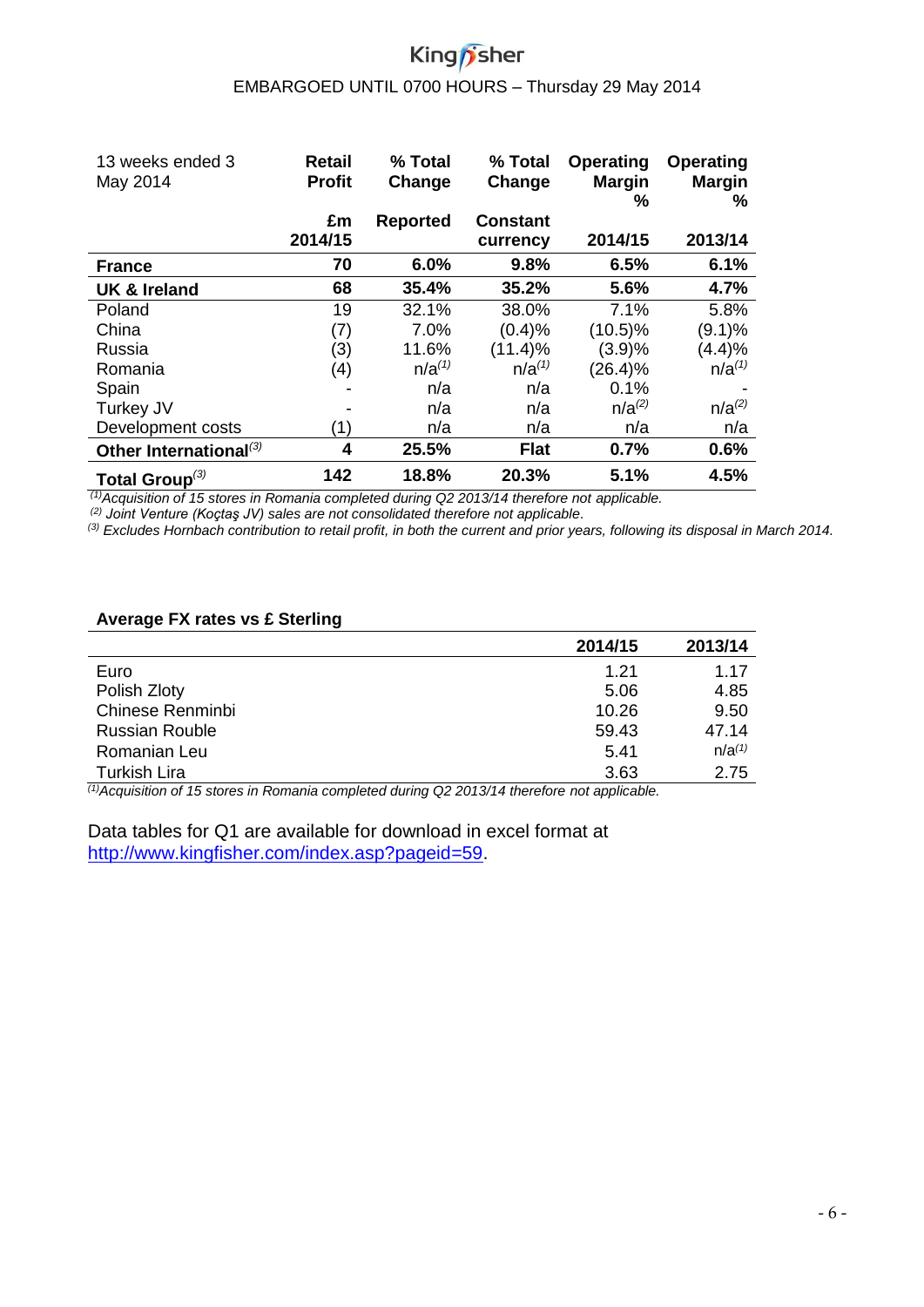# King<sub>/Sher</sub>

# EMBARGOED UNTIL 0700 HOURS – Thursday 29 May 2014

| 13 weeks ended 3<br>May 2014       | Retail<br><b>Profit</b> | % Total<br>Change | % Total<br>Change | <b>Operating</b><br><b>Margin</b><br>% | Operating<br><b>Margin</b><br>℅ |
|------------------------------------|-------------------------|-------------------|-------------------|----------------------------------------|---------------------------------|
|                                    | £m                      | <b>Reported</b>   | <b>Constant</b>   |                                        |                                 |
|                                    | 2014/15                 |                   | currency          | 2014/15                                | 2013/14                         |
| <b>France</b>                      | 70                      | 6.0%              | 9.8%              | 6.5%                                   | 6.1%                            |
| <b>UK &amp; Ireland</b>            | 68                      | 35.4%             | 35.2%             | 5.6%                                   | 4.7%                            |
| Poland                             | 19                      | 32.1%             | 38.0%             | 7.1%                                   | 5.8%                            |
| China                              | (7)                     | 7.0%              | (0.4)%            | $(10.5)\%$                             | $(9.1)\%$                       |
| Russia                             | (3)                     | 11.6%             | $(11.4)\%$        | (3.9)%                                 | (4.4)%                          |
| Romania                            | (4)                     | $n/a^{(1)}$       | $n/a^{(1)}$       | $(26.4)\%$                             | $n/a^{(1)}$                     |
| Spain                              |                         | n/a               | n/a               | 0.1%                                   |                                 |
| Turkey JV                          |                         | n/a               | n/a               | $n/a^{(2)}$                            | $n/a^{(2)}$                     |
| Development costs                  | (1)                     | n/a               | n/a               | n/a                                    | n/a                             |
| Other International <sup>(3)</sup> | 4                       | 25.5%             | <b>Flat</b>       | 0.7%                                   | 0.6%                            |
| Total Group $^{(3)}$               | 142                     | 18.8%             | 20.3%             | 5.1%                                   | 4.5%                            |

*(1)Acquisition of 15 stores in Romania completed during Q2 2013/14 therefore not applicable.*

*(2) Joint Venture (Koçtaş JV) sales are not consolidated therefore not applicable.*

*(3) Excludes Hornbach contribution to retail profit, in both the current and prior years, following its disposal in March 2014.*

#### **Average FX rates vs £ Sterling**

|                       | 2014/15 | 2013/14     |
|-----------------------|---------|-------------|
| Euro                  | 1.21    | 1.17        |
| Polish Zloty          | 5.06    | 4.85        |
| Chinese Renminbi      | 10.26   | 9.50        |
| <b>Russian Rouble</b> | 59.43   | 47.14       |
| Romanian Leu          | 5.41    | $n/a^{(1)}$ |
| <b>Turkish Lira</b>   | 3.63    | 2.75        |

*(1)Acquisition of 15 stores in Romania completed during Q2 2013/14 therefore not applicable.*

Data tables for Q1 are available for download in excel format at [http://www.kingfisher.com/index.asp?pageid=59.](http://www.kingfisher.com/index.asp?pageid=59)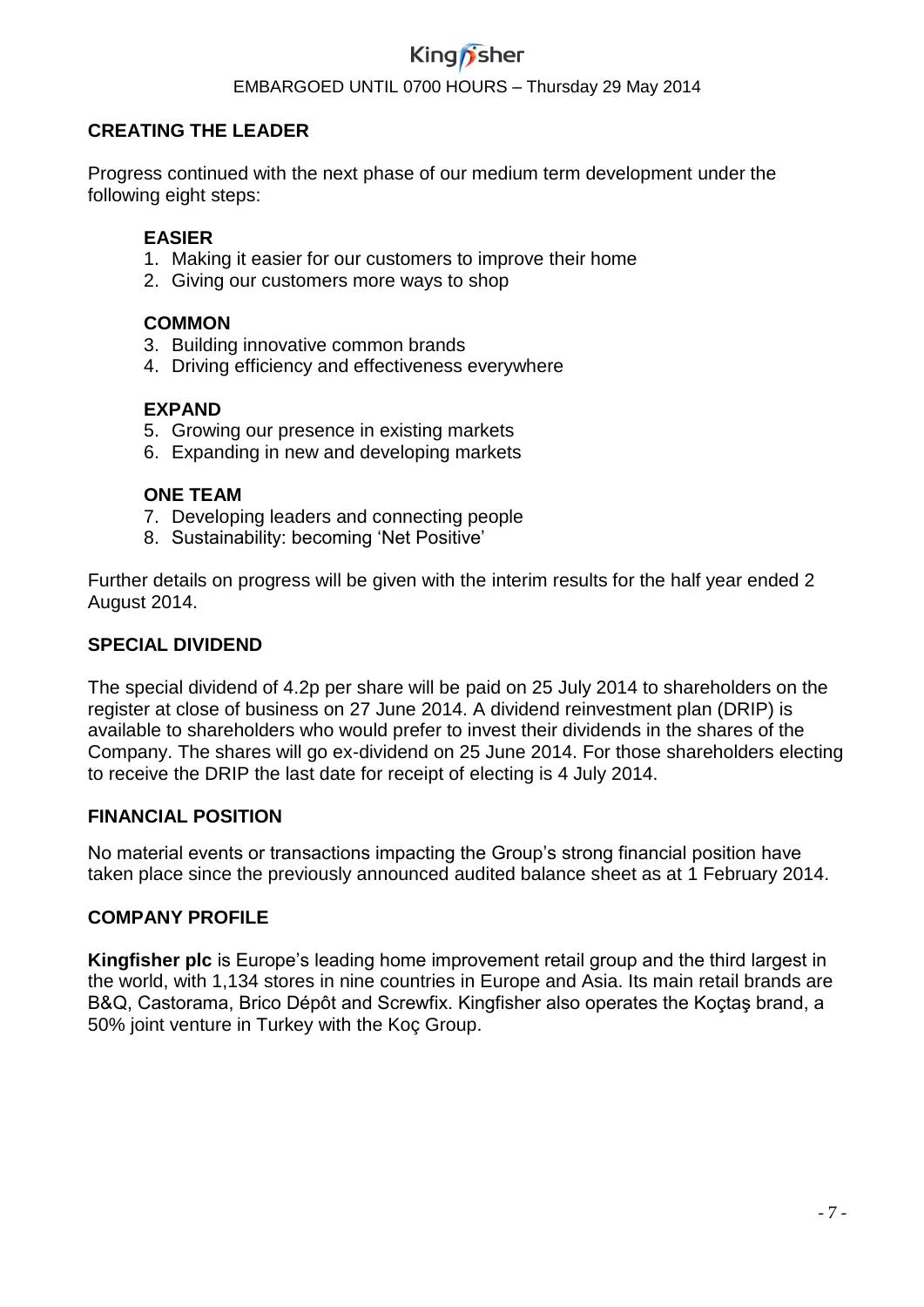#### EMBARGOED UNTIL 0700 HOURS – Thursday 29 May 2014

#### **CREATING THE LEADER**

Progress continued with the next phase of our medium term development under the following eight steps:

#### **EASIER**

- 1. Making it easier for our customers to improve their home
- 2. Giving our customers more ways to shop

#### **COMMON**

- 3. Building innovative common brands
- 4. Driving efficiency and effectiveness everywhere

#### **EXPAND**

- 5. Growing our presence in existing markets
- 6. Expanding in new and developing markets

#### **ONE TEAM**

- 7. Developing leaders and connecting people
- 8. Sustainability: becoming 'Net Positive'

Further details on progress will be given with the interim results for the half year ended 2 August 2014.

#### **SPECIAL DIVIDEND**

The special dividend of 4.2p per share will be paid on 25 July 2014 to shareholders on the register at close of business on 27 June 2014. A dividend reinvestment plan (DRIP) is available to shareholders who would prefer to invest their dividends in the shares of the Company. The shares will go ex-dividend on 25 June 2014. For those shareholders electing to receive the DRIP the last date for receipt of electing is 4 July 2014.

#### **FINANCIAL POSITION**

No material events or transactions impacting the Group's strong financial position have taken place since the previously announced audited balance sheet as at 1 February 2014.

#### **COMPANY PROFILE**

**Kingfisher plc** is Europe's leading home improvement retail group and the third largest in the world, with 1,134 stores in nine countries in Europe and Asia. Its main retail brands are B&Q, Castorama, Brico Dépôt and Screwfix. Kingfisher also operates the Koçtaş brand, a 50% joint venture in Turkey with the Koç Group.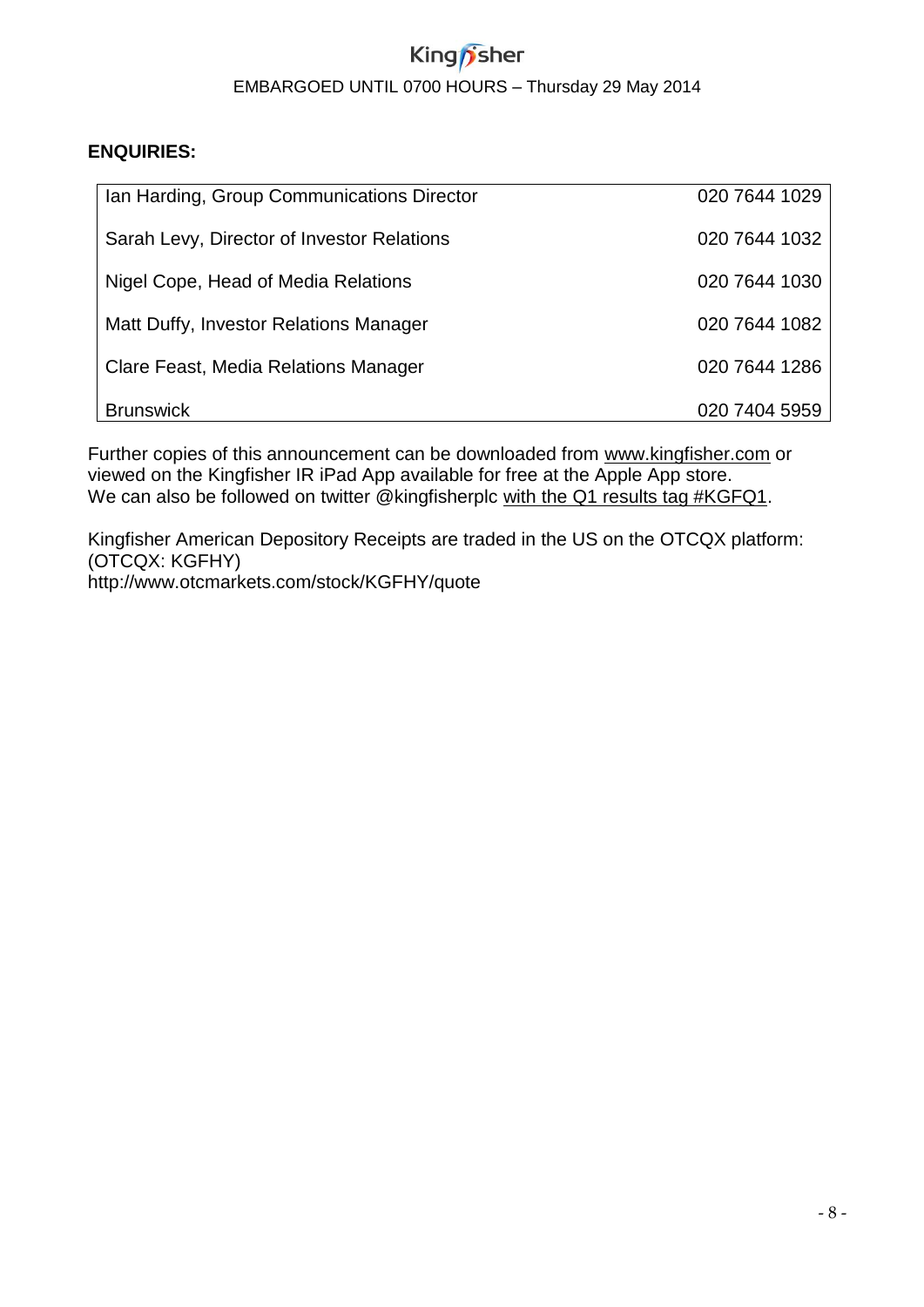# King *f*sher EMBARGOED UNTIL 0700 HOURS – Thursday 29 May 2014

#### **ENQUIRIES:**

| Ian Harding, Group Communications Director | 020 7644 1029 |
|--------------------------------------------|---------------|
| Sarah Levy, Director of Investor Relations | 020 7644 1032 |
| Nigel Cope, Head of Media Relations        | 020 7644 1030 |
| Matt Duffy, Investor Relations Manager     | 020 7644 1082 |
| Clare Feast, Media Relations Manager       | 020 7644 1286 |
| <b>Brunswick</b>                           | 020 7404 5959 |

Further copies of this announcement can be downloaded from [www.kingfisher.com](http://www.kingfisher.com/) or viewed on the Kingfisher IR iPad App available for free at the Apple App store. We can also be followed on twitter @kingfisherplc with the Q1 results tag #KGFQ1.

Kingfisher American Depository Receipts are traded in the US on the OTCQX platform: (OTCQX: KGFHY) http://www.otcmarkets.com/stock/KGFHY/quote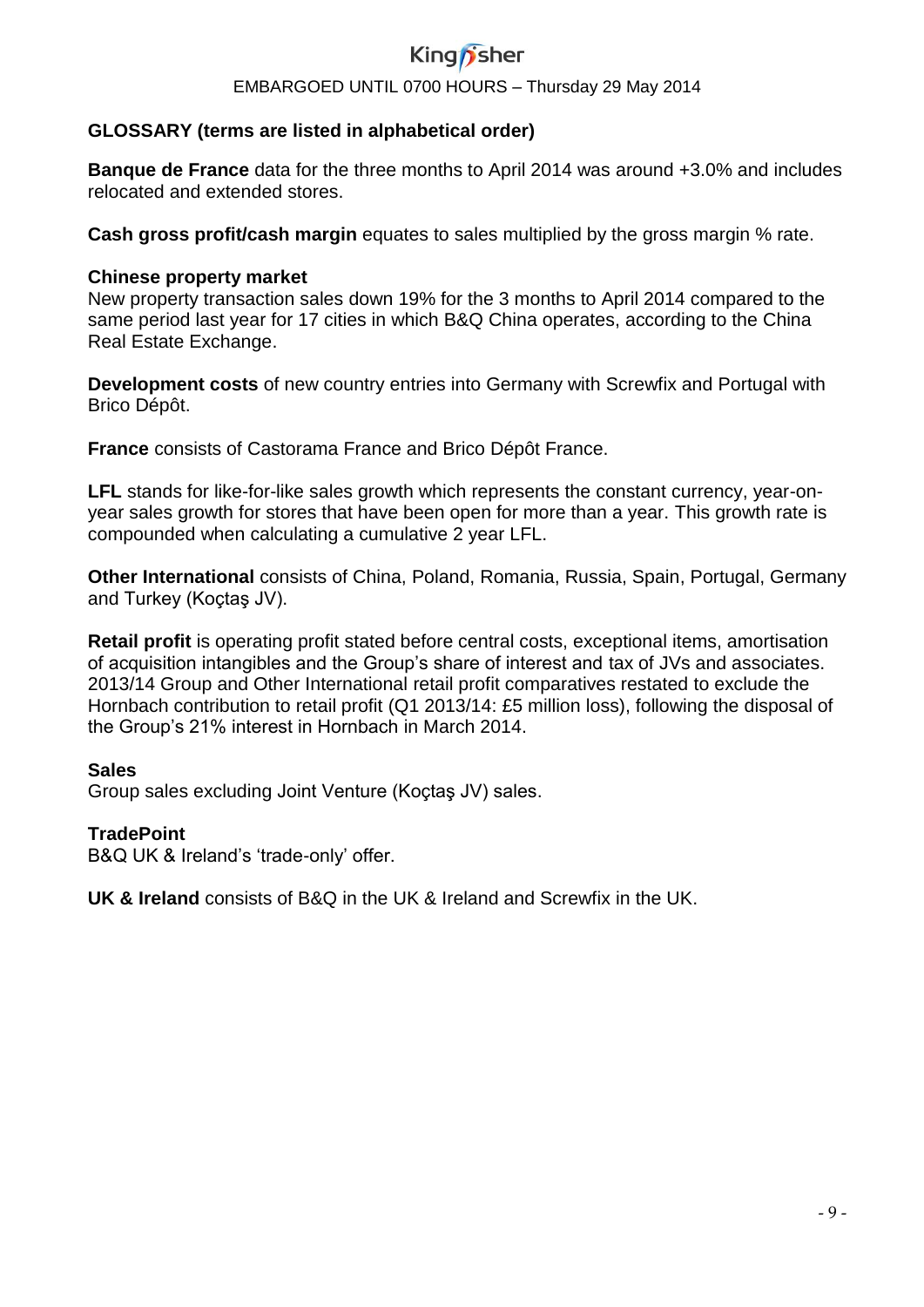#### EMBARGOED UNTIL 0700 HOURS – Thursday 29 May 2014

#### **GLOSSARY (terms are listed in alphabetical order)**

**Banque de France** data for the three months to April 2014 was around +3.0% and includes relocated and extended stores.

**Cash gross profit/cash margin** equates to sales multiplied by the gross margin % rate.

#### **Chinese property market**

New property transaction sales down 19% for the 3 months to April 2014 compared to the same period last year for 17 cities in which B&Q China operates, according to the China Real Estate Exchange.

**Development costs** of new country entries into Germany with Screwfix and Portugal with Brico Dépôt.

**France** consists of Castorama France and Brico Dépôt France.

**LFL** stands for like-for-like sales growth which represents the constant currency, year-onyear sales growth for stores that have been open for more than a year. This growth rate is compounded when calculating a cumulative 2 year LFL.

**Other International** consists of China, Poland, Romania, Russia, Spain, Portugal, Germany and Turkey (Koçtaş JV).

**Retail profit** is operating profit stated before central costs, exceptional items, amortisation of acquisition intangibles and the Group's share of interest and tax of JVs and associates. 2013/14 Group and Other International retail profit comparatives restated to exclude the Hornbach contribution to retail profit (Q1 2013/14: £5 million loss), following the disposal of the Group's 21% interest in Hornbach in March 2014.

#### **Sales**

Group sales excluding Joint Venture (Koçtaş JV) sales.

#### **TradePoint**

B&Q UK & Ireland's 'trade-only' offer.

**UK & Ireland** consists of B&Q in the UK & Ireland and Screwfix in the UK.